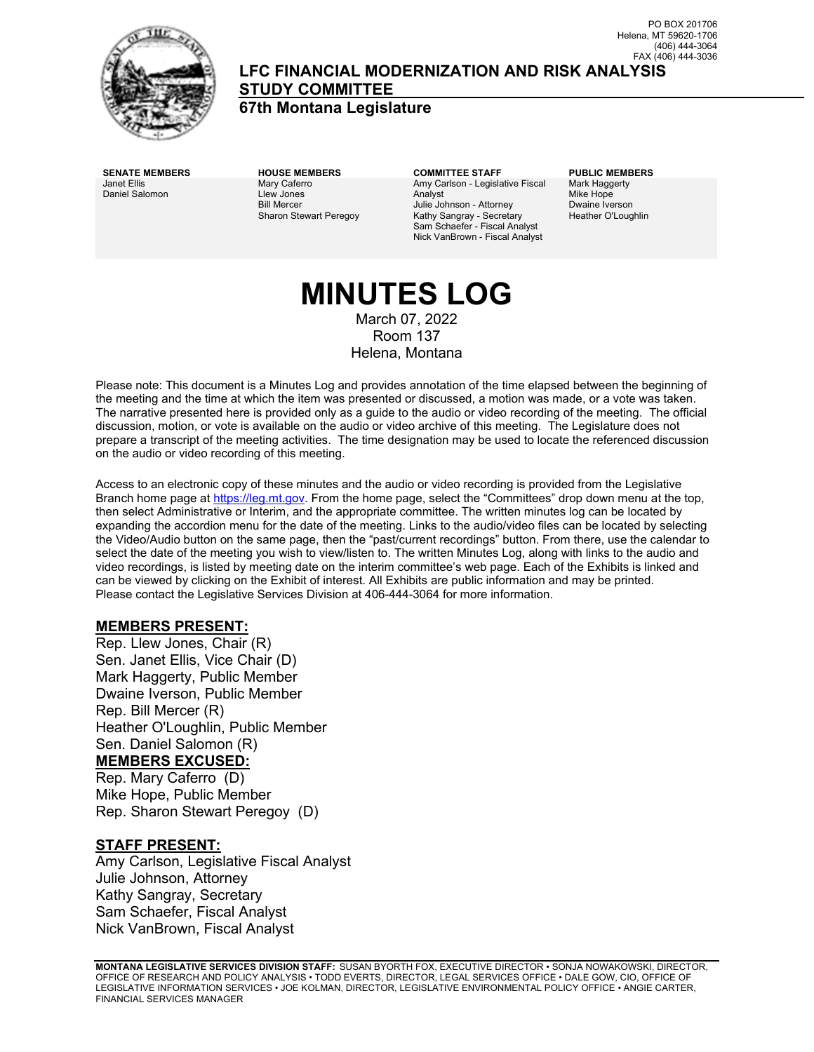

**LFC FINANCIAL MODERNIZATION AND RISK ANALYSIS STUDY COMMITTEE**

**67th Montana Legislature**

Janet Ellis Daniel Salomon Mary Caferro Llew Jones Bill Mercer Sharon Stewart Peregoy

**SENATE MEMBERS HOUSE MEMBERS COMMITTEE STAFF PUBLIC MEMBERS** Amy Carlson - Legislative Fiscal Analyst Julie Johnson - Attorney Kathy Sangray - Secretary Sam Schaefer - Fiscal Analyst Nick VanBrown - Fiscal Analyst

Mark Haggerty Mike Hope Dwaine Iverson Heather O'Loughlin

# **MINUTES LOG** March 07, 2022

Room 137 Helena, Montana

Please note: This document is a Minutes Log and provides annotation of the time elapsed between the beginning of the meeting and the time at which the item was presented or discussed, a motion was made, or a vote was taken. The narrative presented here is provided only as a guide to the audio or video recording of the meeting. The official discussion, motion, or vote is available on the audio or video archive of this meeting. The Legislature does not prepare a transcript of the meeting activities. The time designation may be used to locate the referenced discussion on the audio or video recording of this meeting.

Access to an electronic copy of these minutes and the audio or video recording is provided from the Legislative Branch home page a[t https://leg.mt.gov.](http://legmt.gov/) From the home page, select the "Committees" drop down menu at the top, then select Administrative or Interim, and the appropriate committee. The written minutes log can be located by expanding the accordion menu for the date of the meeting. Links to the audio/video files can be located by selecting the Video/Audio button on the same page, then the "past/current recordings" button. From there, use the calendar to select the date of the meeting you wish to view/listen to. The written Minutes Log, along with links to the audio and video recordings, is listed by meeting date on the interim committee's web page. Each of the Exhibits is linked and can be viewed by clicking on the Exhibit of interest. All Exhibits are public information and may be printed. Please contact the Legislative Services Division at 406-444-3064 for more information.

### **MEMBERS PRESENT:**

Rep. Llew Jones, Chair (R) Sen. Janet Ellis, Vice Chair (D) Mark Haggerty, Public Member Dwaine Iverson, Public Member Rep. Bill Mercer (R) Heather O'Loughlin, Public Member Sen. Daniel Salomon (R) **MEMBERS EXCUSED:**

Rep. Mary Caferro (D) Mike Hope, Public Member Rep. Sharon Stewart Peregoy (D)

### **STAFF PRESENT:**

Amy Carlson, Legislative Fiscal Analyst Julie Johnson, Attorney Kathy Sangray, Secretary Sam Schaefer, Fiscal Analyst Nick VanBrown, Fiscal Analyst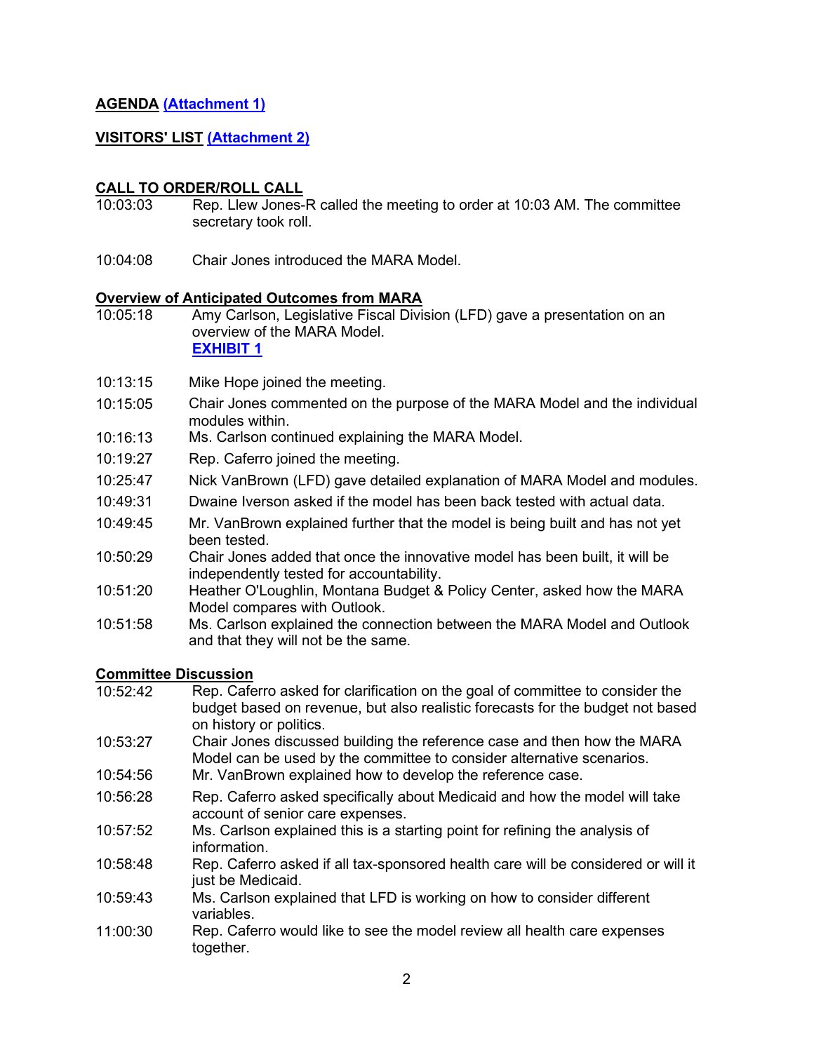### **AGENDA [\(Attachment 1\)](https://leg.mt.gov/content/publications/fiscal/2023-Interim/March-2022/MARA-Agenda-March.pdf)**

### **VISITORS' LIST [\(Attachment 2\)](https://leg.mt.gov/content/publications/fiscal/2023-Interim/March-2022/March-MARA-Testimony-Requests.pdf)**

#### **CALL TO ORDER/ROLL CALL**

- 10:03:03 Rep. Llew Jones-R called the meeting to order at 10:03 AM. The committee secretary took roll.
- 10:04:08 Chair Jones introduced the MARA Model.

#### **Overview of Anticipated Outcomes from MARA**

- 10:05:18 Amy Carlson, Legislative Fiscal Division (LFD) gave a presentation on an overview of the MARA Model. **[EXHIBIT 1](https://leg.mt.gov/content/publications/fiscal/2023-Interim/March-2022/MARA-Model.pdf)**
- 10:13:15 Mike Hope joined the meeting.
- 10:15:05 Chair Jones commented on the purpose of the MARA Model and the individual modules within.
- 10:16:13 Ms. Carlson continued explaining the MARA Model.
- 10:19:27 Rep. Caferro joined the meeting.
- 10:25:47 Nick VanBrown (LFD) gave detailed explanation of MARA Model and modules.
- 10:49:31 Dwaine Iverson asked if the model has been back tested with actual data.
- 10:49:45 Mr. VanBrown explained further that the model is being built and has not yet been tested.
- 10:50:29 Chair Jones added that once the innovative model has been built, it will be independently tested for accountability.
- 10:51:20 Heather O'Loughlin, Montana Budget & Policy Center, asked how the MARA Model compares with Outlook.
- 10:51:58 Ms. Carlson explained the connection between the MARA Model and Outlook and that they will not be the same.

### **Committee Discussion**

- 10:52:42 Rep. Caferro asked for clarification on the goal of committee to consider the budget based on revenue, but also realistic forecasts for the budget not based on history or politics. 10:53:27 Chair Jones discussed building the reference case and then how the MARA Model can be used by the committee to consider alternative scenarios. 10:54:56 Mr. VanBrown explained how to develop the reference case.
- 10:56:28 Rep. Caferro asked specifically about Medicaid and how the model will take account of senior care expenses.
- 10:57:52 Ms. Carlson explained this is a starting point for refining the analysis of information.
- 10:58:48 Rep. Caferro asked if all tax-sponsored health care will be considered or will it just be Medicaid.
- 10:59:43 Ms. Carlson explained that LFD is working on how to consider different variables.
- 11:00:30 Rep. Caferro would like to see the model review all health care expenses together.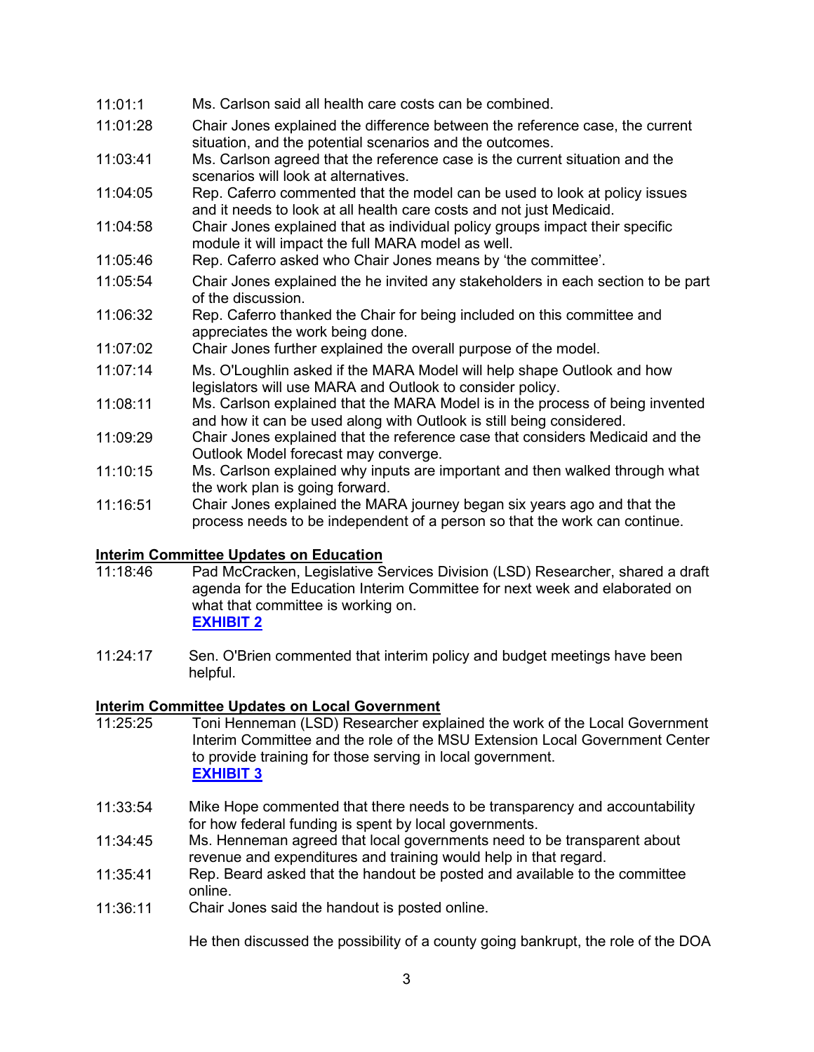### 11:01:1 Ms. Carlson said all health care costs can be combined.

- 11:01:28 Chair Jones explained the difference between the reference case, the current situation, and the potential scenarios and the outcomes.
- 11:03:41 Ms. Carlson agreed that the reference case is the current situation and the scenarios will look at alternatives.
- 11:04:05 Rep. Caferro commented that the model can be used to look at policy issues and it needs to look at all health care costs and not just Medicaid.
- 11:04:58 Chair Jones explained that as individual policy groups impact their specific module it will impact the full MARA model as well.
- 11:05:46 Rep. Caferro asked who Chair Jones means by 'the committee'.
- 11:05:54 Chair Jones explained the he invited any stakeholders in each section to be part of the discussion.
- 11:06:32 Rep. Caferro thanked the Chair for being included on this committee and appreciates the work being done.
- 11:07:02 Chair Jones further explained the overall purpose of the model.
- 11:07:14 Ms. O'Loughlin asked if the MARA Model will help shape Outlook and how legislators will use MARA and Outlook to consider policy.
- 11:08:11 Ms. Carlson explained that the MARA Model is in the process of being invented and how it can be used along with Outlook is still being considered.
- 11:09:29 Chair Jones explained that the reference case that considers Medicaid and the Outlook Model forecast may converge.
- 11:10:15 Ms. Carlson explained why inputs are important and then walked through what the work plan is going forward.
- 11:16:51 Chair Jones explained the MARA journey began six years ago and that the process needs to be independent of a person so that the work can continue.

# **Interim Committee Updates on Education**<br>11:18:46 Pad McCracken, Legislative S

- Pad McCracken, Legislative Services Division (LSD) Researcher, shared a draft agenda for the Education Interim Committee for next week and elaborated on what that committee is working on. **[EXHIBIT 2](https://leg.mt.gov/content/Committees/Interim/2021-2022/Education/Meetings/March-2022/March-2022-DRAFT-agenda.pdf)**
- 11:24:17 Sen. O'Brien commented that interim policy and budget meetings have been helpful.

### **Interim Committee Updates on Local Government**

- 11:25:25 Toni Henneman (LSD) Researcher explained the work of the Local Government Interim Committee and the role of the MSU Extension Local Government Center to provide training for those serving in local government. **[EXHIBIT 3](https://leg.mt.gov/content/publications/fiscal/2023-Interim/March-2022/MSU_LG_Center.pdf)**
- 11:33:54 Mike Hope commented that there needs to be transparency and accountability for how federal funding is spent by local governments.
- 11:34:45 Ms. Henneman agreed that local governments need to be transparent about revenue and expenditures and training would help in that regard.
- 11:35:41 Rep. Beard asked that the handout be posted and available to the committee online.
- 11:36:11 Chair Jones said the handout is posted online.

He then discussed the possibility of a county going bankrupt, the role of the DOA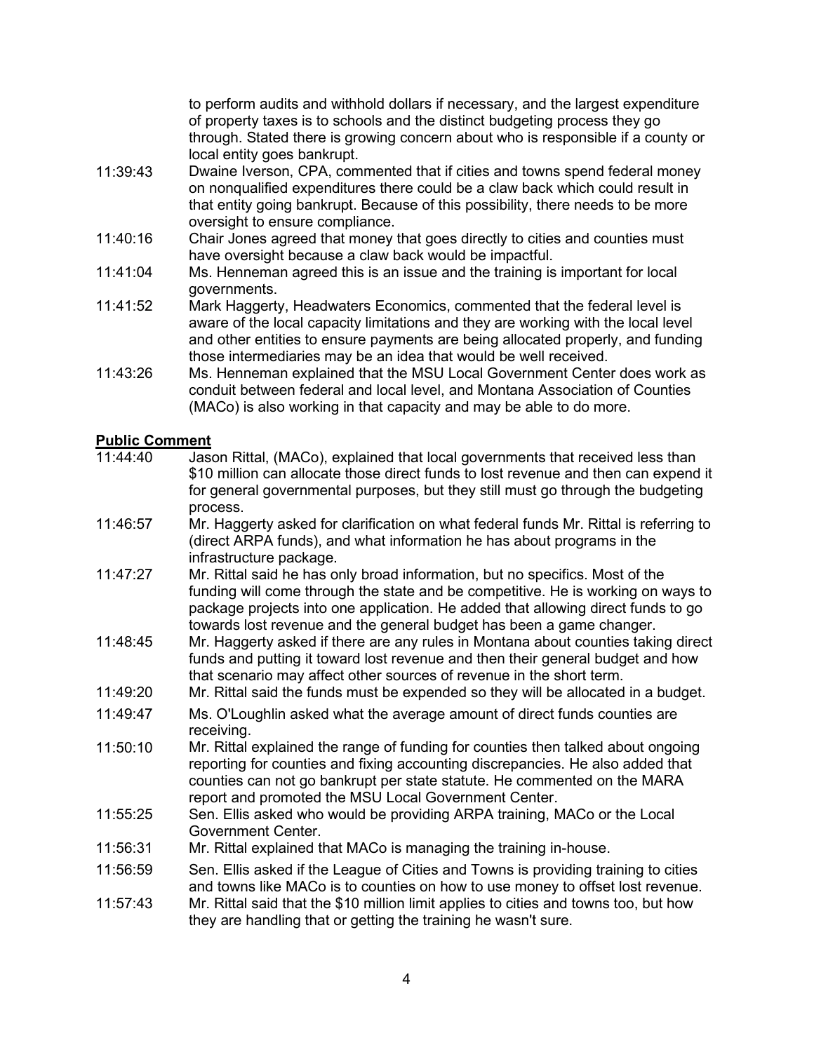to perform audits and withhold dollars if necessary, and the largest expenditure of property taxes is to schools and the distinct budgeting process they go through. Stated there is growing concern about who is responsible if a county or local entity goes bankrupt.

- 11:39:43 Dwaine Iverson, CPA, commented that if cities and towns spend federal money on nonqualified expenditures there could be a claw back which could result in that entity going bankrupt. Because of this possibility, there needs to be more oversight to ensure compliance.
- 11:40:16 Chair Jones agreed that money that goes directly to cities and counties must have oversight because a claw back would be impactful.
- 11:41:04 Ms. Henneman agreed this is an issue and the training is important for local governments.
- 11:41:52 Mark Haggerty, Headwaters Economics, commented that the federal level is aware of the local capacity limitations and they are working with the local level and other entities to ensure payments are being allocated properly, and funding those intermediaries may be an idea that would be well received.
- 11:43:26 Ms. Henneman explained that the MSU Local Government Center does work as conduit between federal and local level, and Montana Association of Counties (MACo) is also working in that capacity and may be able to do more.

### **Public Comment**

- 11:44:40 Jason Rittal, (MACo), explained that local governments that received less than \$10 million can allocate those direct funds to lost revenue and then can expend it for general governmental purposes, but they still must go through the budgeting process.
- 11:46:57 Mr. Haggerty asked for clarification on what federal funds Mr. Rittal is referring to (direct ARPA funds), and what information he has about programs in the infrastructure package.
- 11:47:27 Mr. Rittal said he has only broad information, but no specifics. Most of the funding will come through the state and be competitive. He is working on ways to package projects into one application. He added that allowing direct funds to go towards lost revenue and the general budget has been a game changer.
- 11:48:45 Mr. Haggerty asked if there are any rules in Montana about counties taking direct funds and putting it toward lost revenue and then their general budget and how that scenario may affect other sources of revenue in the short term.
- 11:49:20 Mr. Rittal said the funds must be expended so they will be allocated in a budget.
- 11:49:47 Ms. O'Loughlin asked what the average amount of direct funds counties are receiving.
- 11:50:10 Mr. Rittal explained the range of funding for counties then talked about ongoing reporting for counties and fixing accounting discrepancies. He also added that counties can not go bankrupt per state statute. He commented on the MARA report and promoted the MSU Local Government Center.
- 11:55:25 Sen. Ellis asked who would be providing ARPA training, MACo or the Local Government Center.
- 11:56:31 Mr. Rittal explained that MACo is managing the training in-house.
- 11:56:59 Sen. Ellis asked if the League of Cities and Towns is providing training to cities and towns like MACo is to counties on how to use money to offset lost revenue.
- 11:57:43 Mr. Rittal said that the \$10 million limit applies to cities and towns too, but how they are handling that or getting the training he wasn't sure.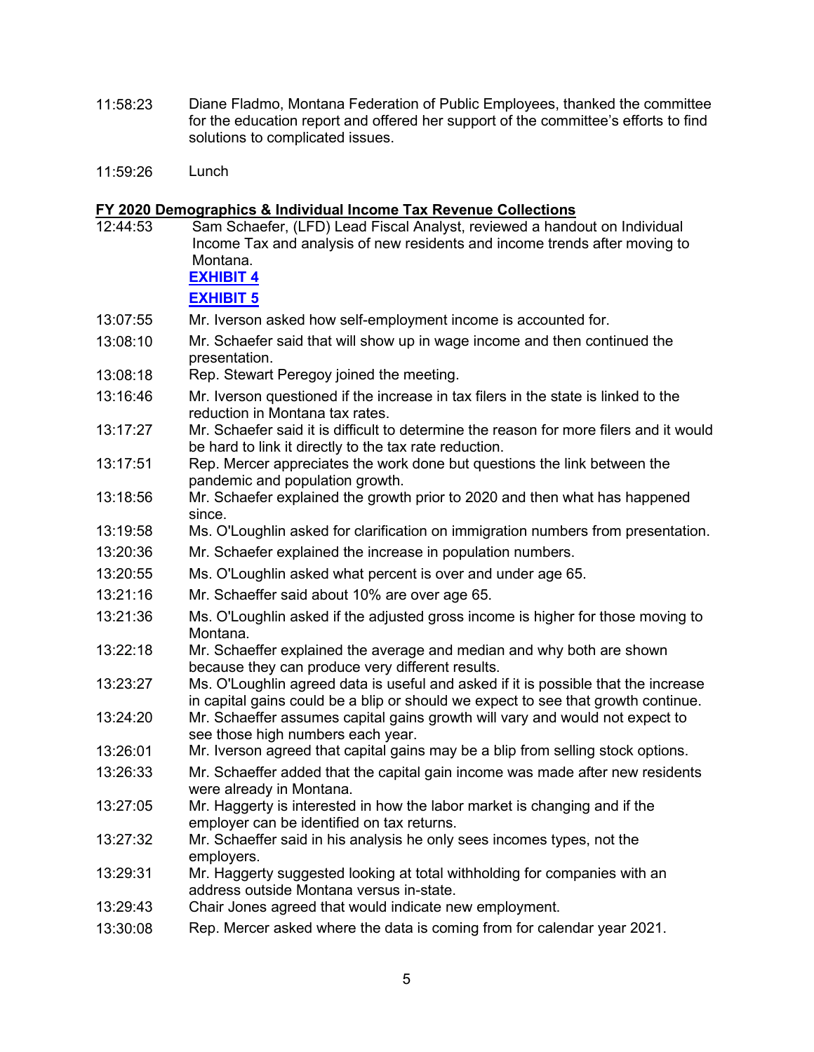- 11:58:23 Diane Fladmo, Montana Federation of Public Employees, thanked the committee for the education report and offered her support of the committee's efforts to find solutions to complicated issues.
- 11:59:26 Lunch

## **FY 2020 Demographics & Individual Income Tax Revenue Collections**

| 12:44:53 | Sam Schaefer, (LFD) Lead Fiscal Analyst, reviewed a handout on Individual<br>Income Tax and analysis of new residents and income trends after moving to<br>Montana.<br><b>EXHIBIT 4</b> |
|----------|-----------------------------------------------------------------------------------------------------------------------------------------------------------------------------------------|
|          | <b>EXHIBIT 5</b>                                                                                                                                                                        |
| 13:07:55 | Mr. Iverson asked how self-employment income is accounted for.                                                                                                                          |
| 13:08:10 | Mr. Schaefer said that will show up in wage income and then continued the<br>presentation.                                                                                              |
| 13:08:18 | Rep. Stewart Peregoy joined the meeting.                                                                                                                                                |
| 13:16:46 | Mr. Iverson questioned if the increase in tax filers in the state is linked to the<br>reduction in Montana tax rates.                                                                   |
| 13:17:27 | Mr. Schaefer said it is difficult to determine the reason for more filers and it would<br>be hard to link it directly to the tax rate reduction.                                        |
| 13:17:51 | Rep. Mercer appreciates the work done but questions the link between the<br>pandemic and population growth.                                                                             |
| 13:18:56 | Mr. Schaefer explained the growth prior to 2020 and then what has happened<br>since.                                                                                                    |
| 13:19:58 | Ms. O'Loughlin asked for clarification on immigration numbers from presentation.                                                                                                        |
| 13:20:36 | Mr. Schaefer explained the increase in population numbers.                                                                                                                              |
| 13:20:55 | Ms. O'Loughlin asked what percent is over and under age 65.                                                                                                                             |
| 13:21:16 | Mr. Schaeffer said about 10% are over age 65.                                                                                                                                           |
| 13:21:36 | Ms. O'Loughlin asked if the adjusted gross income is higher for those moving to<br>Montana.                                                                                             |
| 13:22:18 | Mr. Schaeffer explained the average and median and why both are shown<br>because they can produce very different results.                                                               |
| 13:23:27 | Ms. O'Loughlin agreed data is useful and asked if it is possible that the increase<br>in capital gains could be a blip or should we expect to see that growth continue.                 |
| 13:24:20 | Mr. Schaeffer assumes capital gains growth will vary and would not expect to<br>see those high numbers each year.                                                                       |
| 13:26:01 | Mr. Iverson agreed that capital gains may be a blip from selling stock options.                                                                                                         |
| 13:26:33 | Mr. Schaeffer added that the capital gain income was made after new residents<br>were already in Montana.                                                                               |
| 13:27:05 | Mr. Haggerty is interested in how the labor market is changing and if the<br>employer can be identified on tax returns.                                                                 |
| 13:27:32 | Mr. Schaeffer said in his analysis he only sees incomes types, not the<br>employers.                                                                                                    |
| 13:29:31 | Mr. Haggerty suggested looking at total withholding for companies with an<br>address outside Montana versus in-state.                                                                   |
| 13:29:43 | Chair Jones agreed that would indicate new employment.                                                                                                                                  |
| 13:30:08 | Rep. Mercer asked where the data is coming from for calendar year 2021.                                                                                                                 |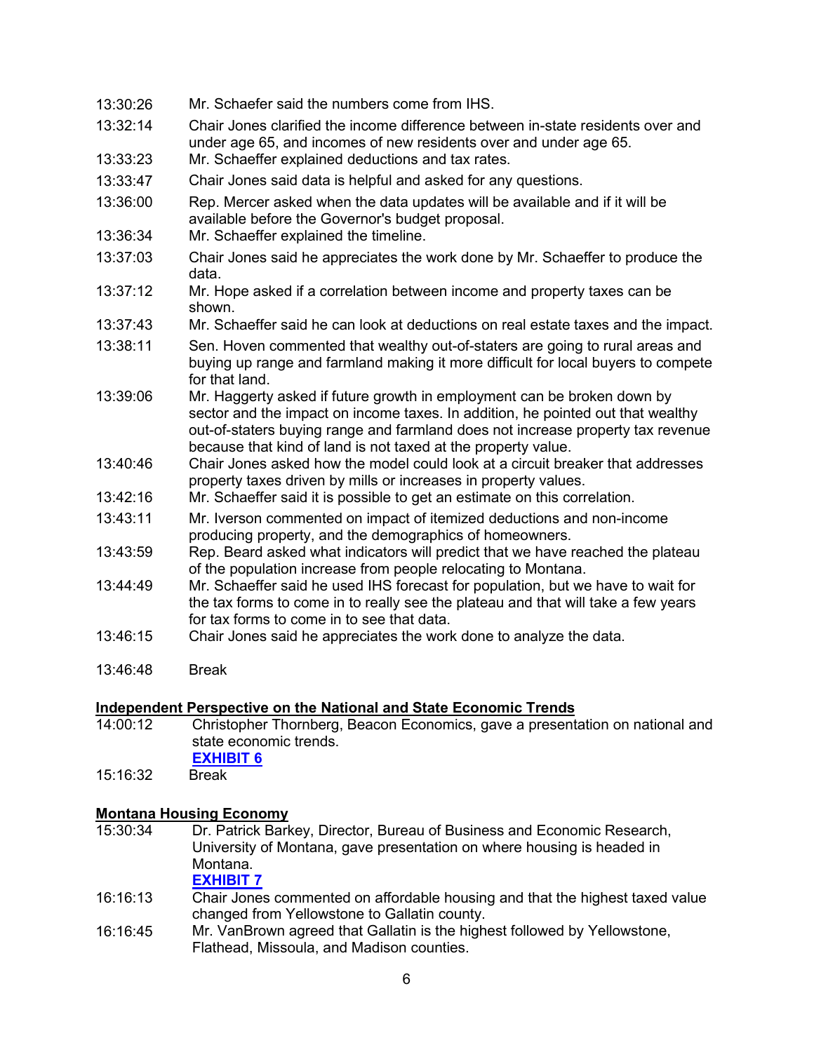| 13:30:26 | Mr. Schaefer said the numbers come from IHS.                                                                                                                                                                                                                                                                   |
|----------|----------------------------------------------------------------------------------------------------------------------------------------------------------------------------------------------------------------------------------------------------------------------------------------------------------------|
| 13:32:14 | Chair Jones clarified the income difference between in-state residents over and<br>under age 65, and incomes of new residents over and under age 65.                                                                                                                                                           |
| 13:33:23 | Mr. Schaeffer explained deductions and tax rates.                                                                                                                                                                                                                                                              |
| 13:33:47 | Chair Jones said data is helpful and asked for any questions.                                                                                                                                                                                                                                                  |
| 13:36:00 | Rep. Mercer asked when the data updates will be available and if it will be<br>available before the Governor's budget proposal.                                                                                                                                                                                |
| 13:36:34 | Mr. Schaeffer explained the timeline.                                                                                                                                                                                                                                                                          |
| 13:37:03 | Chair Jones said he appreciates the work done by Mr. Schaeffer to produce the<br>data.                                                                                                                                                                                                                         |
| 13:37:12 | Mr. Hope asked if a correlation between income and property taxes can be<br>shown.                                                                                                                                                                                                                             |
| 13:37:43 | Mr. Schaeffer said he can look at deductions on real estate taxes and the impact.                                                                                                                                                                                                                              |
| 13:38:11 | Sen. Hoven commented that wealthy out-of-staters are going to rural areas and<br>buying up range and farmland making it more difficult for local buyers to compete<br>for that land.                                                                                                                           |
| 13:39:06 | Mr. Haggerty asked if future growth in employment can be broken down by<br>sector and the impact on income taxes. In addition, he pointed out that wealthy<br>out-of-staters buying range and farmland does not increase property tax revenue<br>because that kind of land is not taxed at the property value. |
| 13:40:46 | Chair Jones asked how the model could look at a circuit breaker that addresses<br>property taxes driven by mills or increases in property values.                                                                                                                                                              |
| 13:42:16 | Mr. Schaeffer said it is possible to get an estimate on this correlation.                                                                                                                                                                                                                                      |
| 13:43:11 | Mr. Iverson commented on impact of itemized deductions and non-income<br>producing property, and the demographics of homeowners.                                                                                                                                                                               |
| 13:43:59 | Rep. Beard asked what indicators will predict that we have reached the plateau<br>of the population increase from people relocating to Montana.                                                                                                                                                                |
| 13:44:49 | Mr. Schaeffer said he used IHS forecast for population, but we have to wait for<br>the tax forms to come in to really see the plateau and that will take a few years<br>for tax forms to come in to see that data.                                                                                             |
| 13:46:15 | Chair Jones said he appreciates the work done to analyze the data.                                                                                                                                                                                                                                             |

13:46:48 Break

# **Independent Perspective on the National and State Economic Trends**<br>14:00:12 Christopher Thornberg, Beacon Economics, gave a presental

- Christopher Thornberg, Beacon Economics, gave a presentation on national and state economic trends. **[EXHIBIT 6](https://leg.mt.gov/content/publications/fiscal/2023-Interim/March-2022/Montana-Thornberg-2022.pdf)**<br>Break
- 15:16:32

# **Montana Housing Economy**

Dr. Patrick Barkey, Director, Bureau of Business and Economic Research, University of Montana, gave presentation on where housing is headed in Montana.

### **[EXHIBIT 7](https://leg.mt.gov/content/publications/fiscal/2023-Interim/March-2022/Barkey-MARA-presentation-March-2022.pdf)**

- 16:16:13 Chair Jones commented on affordable housing and that the highest taxed value changed from Yellowstone to Gallatin county.
- 16:16:45 Mr. VanBrown agreed that Gallatin is the highest followed by Yellowstone, Flathead, Missoula, and Madison counties.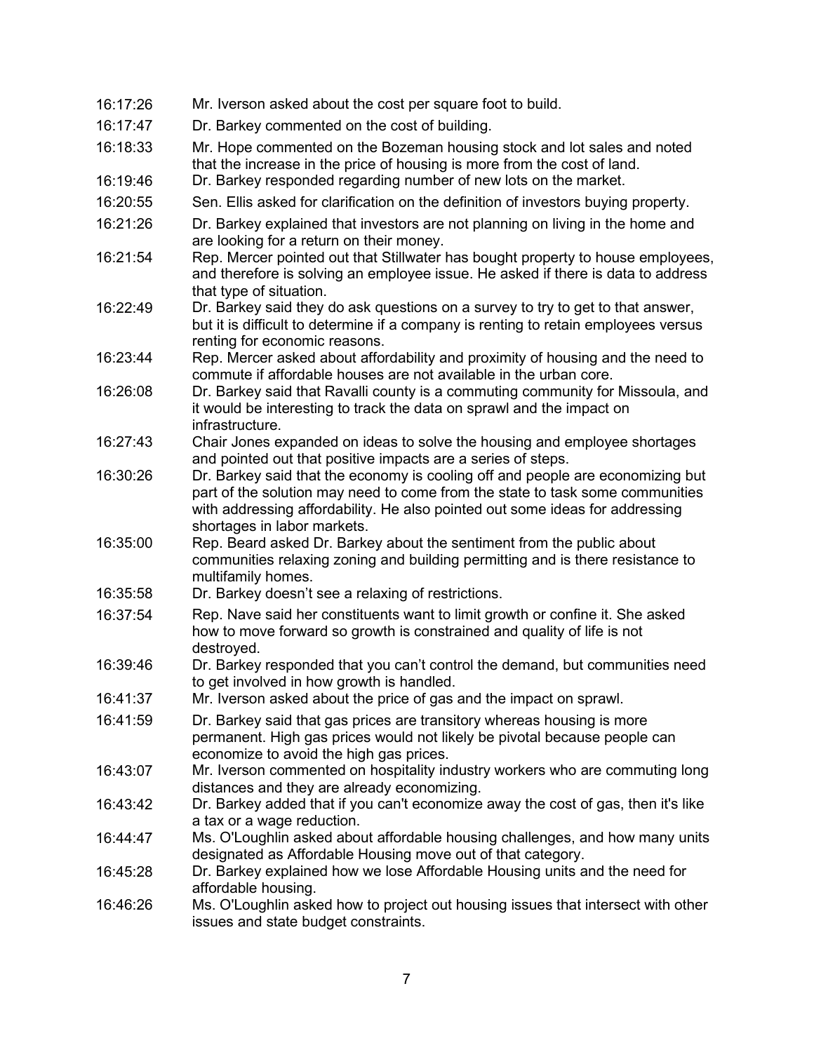| 16:17:26             | Mr. Iverson asked about the cost per square foot to build.                                                                                                                                                                                                                     |
|----------------------|--------------------------------------------------------------------------------------------------------------------------------------------------------------------------------------------------------------------------------------------------------------------------------|
| 16:17:47             | Dr. Barkey commented on the cost of building.                                                                                                                                                                                                                                  |
| 16:18:33<br>16:19:46 | Mr. Hope commented on the Bozeman housing stock and lot sales and noted<br>that the increase in the price of housing is more from the cost of land.<br>Dr. Barkey responded regarding number of new lots on the market.                                                        |
| 16:20:55             | Sen. Ellis asked for clarification on the definition of investors buying property.                                                                                                                                                                                             |
|                      |                                                                                                                                                                                                                                                                                |
| 16:21:26             | Dr. Barkey explained that investors are not planning on living in the home and<br>are looking for a return on their money.                                                                                                                                                     |
| 16:21:54             | Rep. Mercer pointed out that Stillwater has bought property to house employees,<br>and therefore is solving an employee issue. He asked if there is data to address<br>that type of situation.                                                                                 |
| 16:22:49             | Dr. Barkey said they do ask questions on a survey to try to get to that answer,<br>but it is difficult to determine if a company is renting to retain employees versus<br>renting for economic reasons.                                                                        |
| 16:23:44             | Rep. Mercer asked about affordability and proximity of housing and the need to<br>commute if affordable houses are not available in the urban core.                                                                                                                            |
| 16:26:08             | Dr. Barkey said that Ravalli county is a commuting community for Missoula, and<br>it would be interesting to track the data on sprawl and the impact on<br>infrastructure.                                                                                                     |
| 16:27:43             | Chair Jones expanded on ideas to solve the housing and employee shortages<br>and pointed out that positive impacts are a series of steps.                                                                                                                                      |
| 16:30:26             | Dr. Barkey said that the economy is cooling off and people are economizing but<br>part of the solution may need to come from the state to task some communities<br>with addressing affordability. He also pointed out some ideas for addressing<br>shortages in labor markets. |
| 16:35:00             | Rep. Beard asked Dr. Barkey about the sentiment from the public about<br>communities relaxing zoning and building permitting and is there resistance to<br>multifamily homes.                                                                                                  |
| 16:35:58             | Dr. Barkey doesn't see a relaxing of restrictions.                                                                                                                                                                                                                             |
| 16:37:54             | Rep. Nave said her constituents want to limit growth or confine it. She asked<br>how to move forward so growth is constrained and quality of life is not<br>destroyed.                                                                                                         |
| 16:39:46             | Dr. Barkey responded that you can't control the demand, but communities need<br>to get involved in how growth is handled.                                                                                                                                                      |
| 16:41:37             | Mr. Iverson asked about the price of gas and the impact on sprawl.                                                                                                                                                                                                             |
| 16:41:59             | Dr. Barkey said that gas prices are transitory whereas housing is more<br>permanent. High gas prices would not likely be pivotal because people can<br>economize to avoid the high gas prices.                                                                                 |
| 16:43:07             | Mr. Iverson commented on hospitality industry workers who are commuting long<br>distances and they are already economizing.                                                                                                                                                    |
| 16:43:42             | Dr. Barkey added that if you can't economize away the cost of gas, then it's like<br>a tax or a wage reduction.                                                                                                                                                                |
| 16:44:47             | Ms. O'Loughlin asked about affordable housing challenges, and how many units<br>designated as Affordable Housing move out of that category.                                                                                                                                    |
| 16:45:28             | Dr. Barkey explained how we lose Affordable Housing units and the need for<br>affordable housing.                                                                                                                                                                              |
| 16:46:26             | Ms. O'Loughlin asked how to project out housing issues that intersect with other<br>issues and state budget constraints.                                                                                                                                                       |